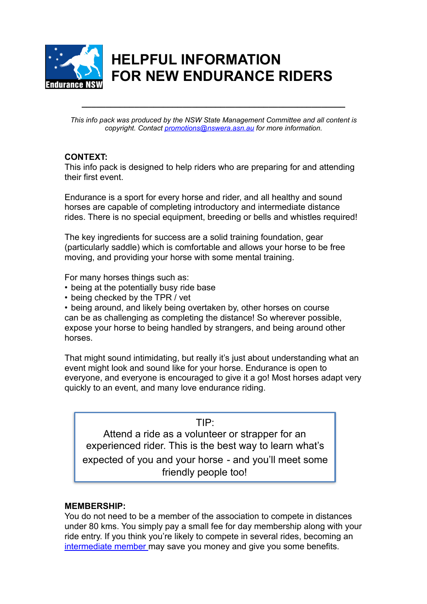

# **HELPFUL INFORMATION FOR NEW ENDURANCE RIDERS**

*This info pack was produced by the NSW State Management Committee and all content is copyright. Contact [promotions@nswera.asn.au](mailto:promotions@nswera.asn.au) for more information.* 

**\_\_\_\_\_\_\_\_\_\_\_\_\_\_\_\_\_\_\_\_\_\_\_\_\_\_\_\_\_\_\_\_\_\_\_\_\_\_\_\_\_\_\_\_\_\_\_\_\_\_\_\_\_\_\_** 

### **CONTEXT:**

This info pack is designed to help riders who are preparing for and attending their first event.

Endurance is a sport for every horse and rider, and all healthy and sound horses are capable of completing introductory and intermediate distance rides. There is no special equipment, breeding or bells and whistles required!

The key ingredients for success are a solid training foundation, gear (particularly saddle) which is comfortable and allows your horse to be free moving, and providing your horse with some mental training.

For many horses things such as:

- being at the potentially busy ride base
- being checked by the TPR / vet

• being around, and likely being overtaken by, other horses on course can be as challenging as completing the distance! So wherever possible, expose your horse to being handled by strangers, and being around other horses.

That might sound intimidating, but really it's just about understanding what an event might look and sound like for your horse. Endurance is open to everyone, and everyone is encouraged to give it a go! Most horses adapt very quickly to an event, and many love endurance riding.

TIP:

Attend a ride as a volunteer or strapper for an experienced rider. This is the best way to learn what's

expected of you and your horse - and you'll meet some friendly people too!

#### **MEMBERSHIP:**

You do not need to be a member of the association to compete in distances under 80 kms. You simply pay a small fee for day membership along with your ride entry. If you think you're likely to compete in several rides, becoming an [intermediate member m](https://www.nswera.asn.au/images/forms/2017_NSWERA_Membership_Application_with_insurance_-_Current.pdf)ay save you money and give you some benefits.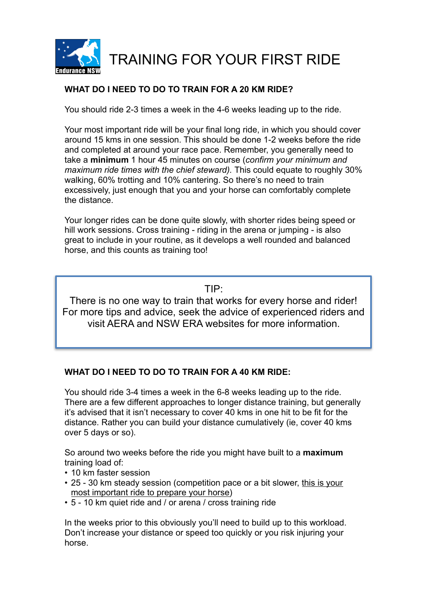

# **WHAT DO I NEED TO DO TO TRAIN FOR A 20 KM RIDE?**

You should ride 2-3 times a week in the 4-6 weeks leading up to the ride.

Your most important ride will be your final long ride, in which you should cover around 15 kms in one session. This should be done 1-2 weeks before the ride and completed at around your race pace. Remember, you generally need to take a **minimum** 1 hour 45 minutes on course (*confirm your minimum and maximum ride times with the chief steward).* This could equate to roughly 30% walking, 60% trotting and 10% cantering. So there's no need to train excessively, just enough that you and your horse can comfortably complete the distance.

Your longer rides can be done quite slowly, with shorter rides being speed or hill work sessions. Cross training - riding in the arena or jumping - is also great to include in your routine, as it develops a well rounded and balanced horse, and this counts as training too!

TIP:

There is no one way to train that works for every horse and rider! For more tips and advice, seek the advice of experienced riders and visit AERA and NSW ERA websites for more information.

# **WHAT DO I NEED TO DO TO TRAIN FOR A 40 KM RIDE:**

You should ride 3-4 times a week in the 6-8 weeks leading up to the ride. There are a few different approaches to longer distance training, but generally it's advised that it isn't necessary to cover 40 kms in one hit to be fit for the distance. Rather you can build your distance cumulatively (ie, cover 40 kms over 5 days or so).

So around two weeks before the ride you might have built to a **maximum**  training load of:

- 10 km faster session
- 25 30 km steady session (competition pace or a bit slower, this is your most important ride to prepare your horse)
- 5 10 km quiet ride and / or arena / cross training ride

In the weeks prior to this obviously you'll need to build up to this workload. Don't increase your distance or speed too quickly or you risk injuring your horse.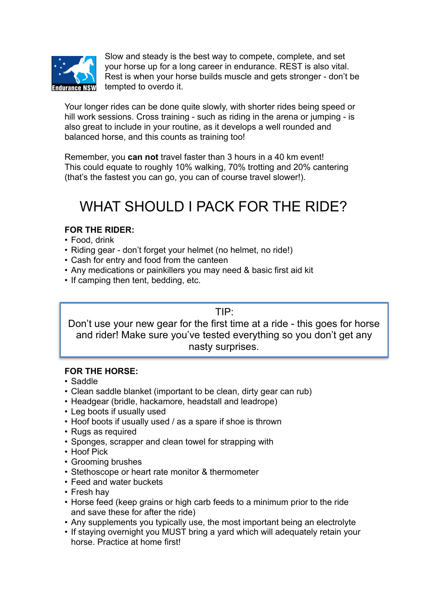

Slow and steady is the best way to compete, complete, and set your horse up for a long career in endurance. REST is also vital. Rest is when your horse builds muscle and gets stronger - don't be tempted to overdo it.

Your longer rides can be done quite slowly, with shorter rides being speed or hill work sessions. Cross training - such as riding in the arena or jumping - is also great to include in your routine, as it develops a well rounded and balanced horse, and this counts as training too!

Remember, you **can not** travel faster than 3 hours in a 40 km event! This could equate to roughly 10% walking, 70% trotting and 20% cantering (that's the fastest you can go, you can of course travel slower!).

# WHAT SHOULD I PACK FOR THE RIDE?

# **FOR THE RIDER:**

- Food, drink
- Riding gear don't forget your helmet (no helmet, no ride!)
- Cash for entry and food from the canteen
- Any medications or painkillers you may need & basic first aid kit
- If camping then tent, bedding, etc.

#### TIP:

Don't use your new gear for the first time at a ride - this goes for horse and rider! Make sure you've tested everything so you don't get any nasty surprises.

# **FOR THE HORSE:**

- Saddle
- Clean saddle blanket (important to be clean, dirty gear can rub)
- Headgear (bridle, hackamore, headstall and leadrope)
- Leg boots if usually used
- Hoof boots if usually used / as a spare if shoe is thrown
- Rugs as required
- Sponges, scrapper and clean towel for strapping with
- Hoof Pick
- Grooming brushes
- Stethoscope or heart rate monitor & thermometer
- Feed and water buckets
- Fresh hay
- Horse feed (keep grains or high carb feeds to a minimum prior to the ride and save these for after the ride)
- Any supplements you typically use, the most important being an electrolyte
- If staying overnight you MUST bring a yard which will adequately retain your horse. Practice at home first!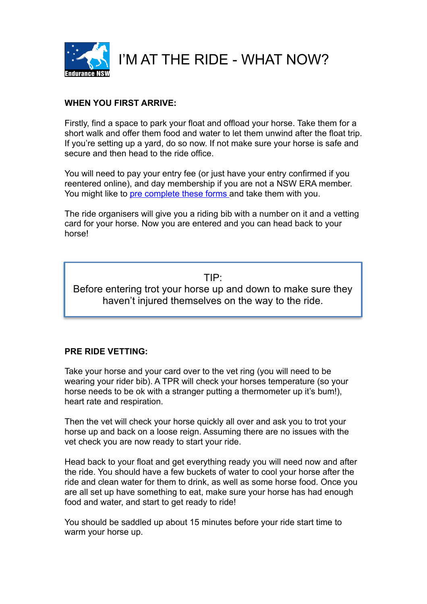

I'M AT THE RIDE - WHAT NOW?

### **WHEN YOU FIRST ARRIVE:**

Firstly, find a space to park your float and offload your horse. Take them for a short walk and offer them food and water to let them unwind after the float trip. If you're setting up a yard, do so now. If not make sure your horse is safe and secure and then head to the ride office.

You will need to pay your entry fee (or just have your entry confirmed if you reentered online), and day membership if you are not a NSW ERA member. You might like to [pre complete these forms a](http://www.nswera.asn.au/forms/rideorganiser.html)nd take them with you.

The ride organisers will give you a riding bib with a number on it and a vetting card for your horse. Now you are entered and you can head back to your horse!

TIP: Before entering trot your horse up and down to make sure they haven't injured themselves on the way to the ride.

### **PRE RIDE VETTING:**

Take your horse and your card over to the vet ring (you will need to be wearing your rider bib). A TPR will check your horses temperature (so your horse needs to be ok with a stranger putting a thermometer up it's bum!), heart rate and respiration.

Then the vet will check your horse quickly all over and ask you to trot your horse up and back on a loose reign. Assuming there are no issues with the vet check you are now ready to start your ride.

Head back to your float and get everything ready you will need now and after the ride. You should have a few buckets of water to cool your horse after the ride and clean water for them to drink, as well as some horse food. Once you are all set up have something to eat, make sure your horse has had enough food and water, and start to get ready to ride!

You should be saddled up about 15 minutes before your ride start time to warm your horse up.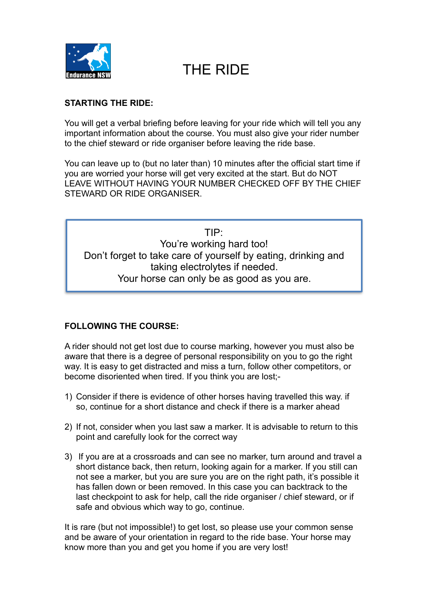

# THE RIDE

### **STARTING THE RIDE:**

You will get a verbal briefing before leaving for your ride which will tell you any important information about the course. You must also give your rider number to the chief steward or ride organiser before leaving the ride base.

You can leave up to (but no later than) 10 minutes after the official start time if you are worried your horse will get very excited at the start. But do NOT LEAVE WITHOUT HAVING YOUR NUMBER CHECKED OFF BY THE CHIEF STEWARD OR RIDE ORGANISER.

TIP: You're working hard too! Don't forget to take care of yourself by eating, drinking and taking electrolytes if needed. Your horse can only be as good as you are.

# **FOLLOWING THE COURSE:**

A rider should not get lost due to course marking, however you must also be aware that there is a degree of personal responsibility on you to go the right way. It is easy to get distracted and miss a turn, follow other competitors, or become disoriented when tired. If you think you are lost;-

- 1) Consider if there is evidence of other horses having travelled this way. if so, continue for a short distance and check if there is a marker ahead
- 2) If not, consider when you last saw a marker. It is advisable to return to this point and carefully look for the correct way
- 3) If you are at a crossroads and can see no marker, turn around and travel a short distance back, then return, looking again for a marker. If you still can not see a marker, but you are sure you are on the right path, it's possible it has fallen down or been removed. In this case you can backtrack to the last checkpoint to ask for help, call the ride organiser / chief steward, or if safe and obvious which way to go, continue.

It is rare (but not impossible!) to get lost, so please use your common sense and be aware of your orientation in regard to the ride base. Your horse may know more than you and get you home if you are very lost!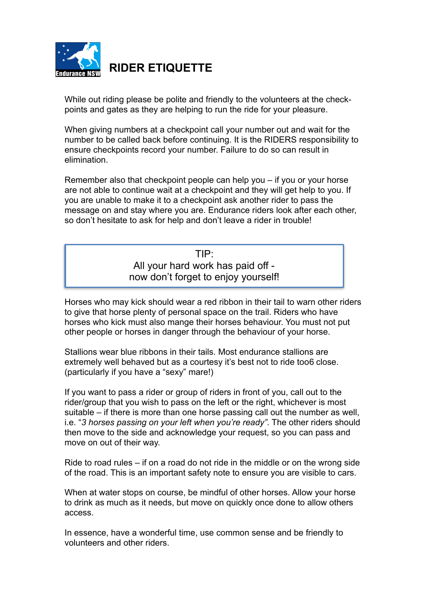

**RIDER ETIQUETTE** 

While out riding please be polite and friendly to the volunteers at the checkpoints and gates as they are helping to run the ride for your pleasure.

When giving numbers at a checkpoint call your number out and wait for the number to be called back before continuing. It is the RIDERS responsibility to ensure checkpoints record your number. Failure to do so can result in elimination.

Remember also that checkpoint people can help you – if you or your horse are not able to continue wait at a checkpoint and they will get help to you. If you are unable to make it to a checkpoint ask another rider to pass the message on and stay where you are. Endurance riders look after each other, so don't hesitate to ask for help and don't leave a rider in trouble!

TIP:

All your hard work has paid off now don't forget to enjoy yourself!

Horses who may kick should wear a red ribbon in their tail to warn other riders to give that horse plenty of personal space on the trail. Riders who have horses who kick must also mange their horses behaviour. You must not put other people or horses in danger through the behaviour of your horse.

Stallions wear blue ribbons in their tails. Most endurance stallions are extremely well behaved but as a courtesy it's best not to ride too6 close. (particularly if you have a "sexy" mare!)

If you want to pass a rider or group of riders in front of you, call out to the rider/group that you wish to pass on the left or the right, whichever is most suitable – if there is more than one horse passing call out the number as well, i.e. "*3 horses passing on your left when you're ready"*. The other riders should then move to the side and acknowledge your request, so you can pass and move on out of their way.

Ride to road rules – if on a road do not ride in the middle or on the wrong side of the road. This is an important safety note to ensure you are visible to cars.

When at water stops on course, be mindful of other horses. Allow your horse to drink as much as it needs, but move on quickly once done to allow others access.

In essence, have a wonderful time, use common sense and be friendly to volunteers and other riders.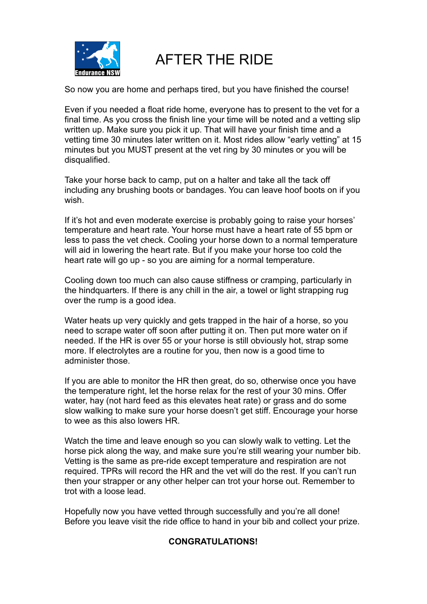

AFTER THE RIDE

So now you are home and perhaps tired, but you have finished the course!

Even if you needed a float ride home, everyone has to present to the vet for a final time. As you cross the finish line your time will be noted and a vetting slip written up. Make sure you pick it up. That will have your finish time and a vetting time 30 minutes later written on it. Most rides allow "early vetting" at 15 minutes but you MUST present at the vet ring by 30 minutes or you will be disqualified.

Take your horse back to camp, put on a halter and take all the tack off including any brushing boots or bandages. You can leave hoof boots on if you wish.

If it's hot and even moderate exercise is probably going to raise your horses' temperature and heart rate. Your horse must have a heart rate of 55 bpm or less to pass the vet check. Cooling your horse down to a normal temperature will aid in lowering the heart rate. But if you make your horse too cold the heart rate will go up - so you are aiming for a normal temperature.

Cooling down too much can also cause stiffness or cramping, particularly in the hindquarters. If there is any chill in the air, a towel or light strapping rug over the rump is a good idea.

Water heats up very quickly and gets trapped in the hair of a horse, so you need to scrape water off soon after putting it on. Then put more water on if needed. If the HR is over 55 or your horse is still obviously hot, strap some more. If electrolytes are a routine for you, then now is a good time to administer those.

If you are able to monitor the HR then great, do so, otherwise once you have the temperature right, let the horse relax for the rest of your 30 mins. Offer water, hay (not hard feed as this elevates heat rate) or grass and do some slow walking to make sure your horse doesn't get stiff. Encourage your horse to wee as this also lowers HR.

Watch the time and leave enough so you can slowly walk to vetting. Let the horse pick along the way, and make sure you're still wearing your number bib. Vetting is the same as pre-ride except temperature and respiration are not required. TPRs will record the HR and the vet will do the rest. If you can't run then your strapper or any other helper can trot your horse out. Remember to trot with a loose lead.

Hopefully now you have vetted through successfully and you're all done! Before you leave visit the ride office to hand in your bib and collect your prize.

### **CONGRATULATIONS!**